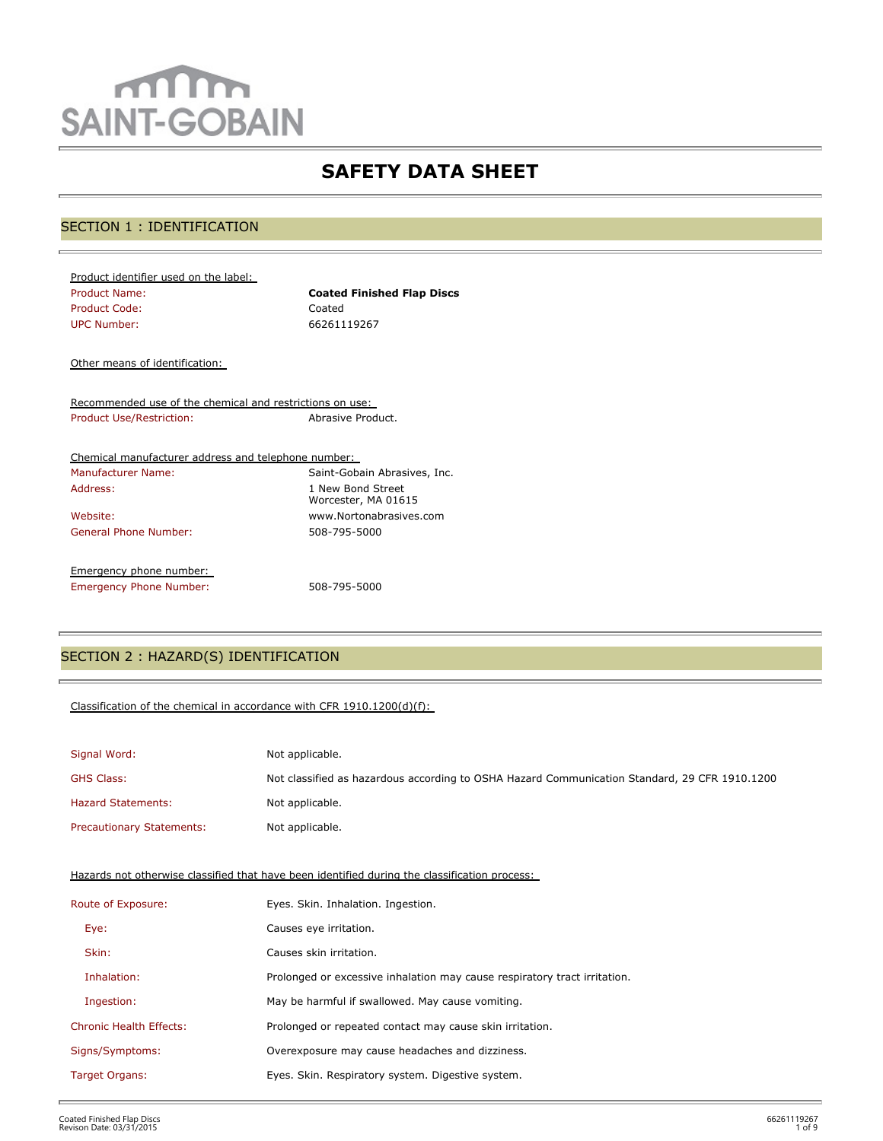# mm **SAINT-GOBAIN**

## **SAFETY DATA SHEET**

## SECTION 1 : IDENTIFICATION

| Product identifier used on the label: |                                   |
|---------------------------------------|-----------------------------------|
| <b>Product Name:</b>                  | <b>Coated Finished Flap Discs</b> |
| Product Code:                         | Coated                            |
| UPC Number:                           | 66261119267                       |
|                                       |                                   |

Other means of identification:

Recommended use of the chemical and restrictions on use: Product Use/Restriction: Abrasive Product.

| Chemical manufacturer address and telephone number: |                                          |
|-----------------------------------------------------|------------------------------------------|
| Manufacturer Name:                                  | Saint-Gobain Abrasives, Inc.             |
| Address:                                            | 1 New Bond Street<br>Worcester, MA 01615 |
| Website:                                            | www.Nortonabrasives.com                  |
| General Phone Number:                               | 508-795-5000                             |
| Emergency phone number:                             |                                          |
| <b>Emergency Phone Number:</b>                      | 508-795-5000                             |

## SECTION 2 : HAZARD(S) IDENTIFICATION

## Classification of the chemical in accordance with CFR 1910.1200(d)(f):

| Signal Word:                     | Not applicable.                                                                               |
|----------------------------------|-----------------------------------------------------------------------------------------------|
| <b>GHS Class:</b>                | Not classified as hazardous according to OSHA Hazard Communication Standard, 29 CFR 1910.1200 |
| <b>Hazard Statements:</b>        | Not applicable.                                                                               |
| <b>Precautionary Statements:</b> | Not applicable.                                                                               |

Hazards not otherwise classified that have been identified during the classification process:

| Route of Exposure:             | Eyes. Skin. Inhalation. Ingestion.                                        |
|--------------------------------|---------------------------------------------------------------------------|
| Eye:                           | Causes eye irritation.                                                    |
| Skin:                          | Causes skin irritation.                                                   |
| Inhalation:                    | Prolonged or excessive inhalation may cause respiratory tract irritation. |
| Ingestion:                     | May be harmful if swallowed. May cause vomiting.                          |
| <b>Chronic Health Effects:</b> | Prolonged or repeated contact may cause skin irritation.                  |
| Signs/Symptoms:                | Overexposure may cause headaches and dizziness.                           |
| Target Organs:                 | Eyes. Skin. Respiratory system. Digestive system.                         |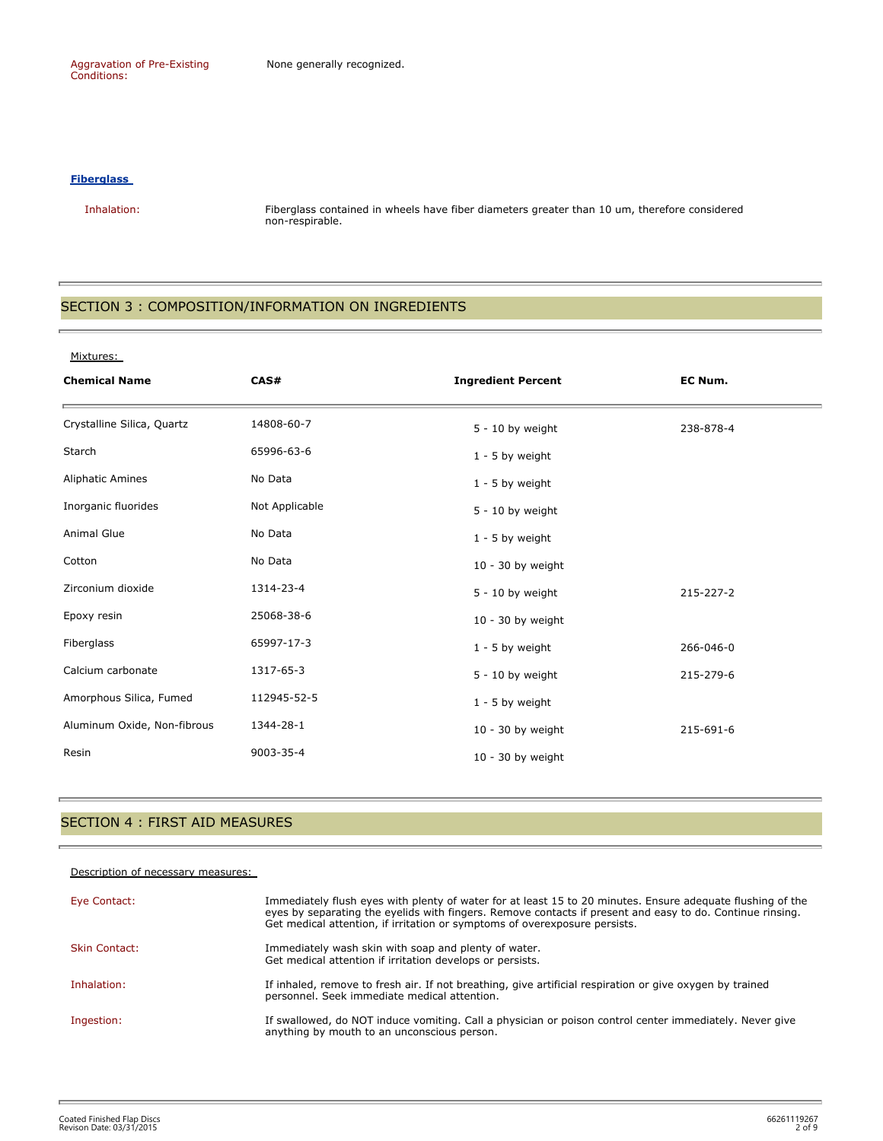Aggravation of Pre-Existing Conditions:

#### **Fiberglass**

 Inhalation: Fiberglass contained in wheels have fiber diameters greater than 10 um, therefore considered non-respirable.

## SECTION 3 : COMPOSITION/INFORMATION ON INGREDIENTS

#### Mixtures:

| <b>Chemical Name</b>        | CAS#           | <b>Ingredient Percent</b> | EC Num.   |
|-----------------------------|----------------|---------------------------|-----------|
| Crystalline Silica, Quartz  | 14808-60-7     | $5 - 10$ by weight        | 238-878-4 |
| Starch                      | 65996-63-6     | $1 - 5$ by weight         |           |
| <b>Aliphatic Amines</b>     | No Data        | $1 - 5$ by weight         |           |
| Inorganic fluorides         | Not Applicable | $5 - 10$ by weight        |           |
| <b>Animal Glue</b>          | No Data        | $1 - 5$ by weight         |           |
| Cotton                      | No Data        | $10 - 30$ by weight       |           |
| Zirconium dioxide           | 1314-23-4      | $5 - 10$ by weight        | 215-227-2 |
| Epoxy resin                 | 25068-38-6     | $10 - 30$ by weight       |           |
| Fiberglass                  | 65997-17-3     | $1 - 5$ by weight         | 266-046-0 |
| Calcium carbonate           | 1317-65-3      | $5 - 10$ by weight        | 215-279-6 |
| Amorphous Silica, Fumed     | 112945-52-5    | $1 - 5$ by weight         |           |
| Aluminum Oxide, Non-fibrous | 1344-28-1      | $10 - 30$ by weight       | 215-691-6 |
| Resin                       | 9003-35-4      | $10 - 30$ by weight       |           |

## SECTION 4 : FIRST AID MEASURES

#### Description of necessary measures:

| Eye Contact:         | Immediately flush eyes with plenty of water for at least 15 to 20 minutes. Ensure adequate flushing of the<br>eyes by separating the eyelids with fingers. Remove contacts if present and easy to do. Continue rinsing.<br>Get medical attention, if irritation or symptoms of overexposure persists. |
|----------------------|-------------------------------------------------------------------------------------------------------------------------------------------------------------------------------------------------------------------------------------------------------------------------------------------------------|
| <b>Skin Contact:</b> | Immediately wash skin with soap and plenty of water.<br>Get medical attention if irritation develops or persists.                                                                                                                                                                                     |
| Inhalation:          | If inhaled, remove to fresh air. If not breathing, give artificial respiration or give oxygen by trained<br>personnel. Seek immediate medical attention.                                                                                                                                              |
| Ingestion:           | If swallowed, do NOT induce vomiting. Call a physician or poison control center immediately. Never give<br>anything by mouth to an unconscious person.                                                                                                                                                |

è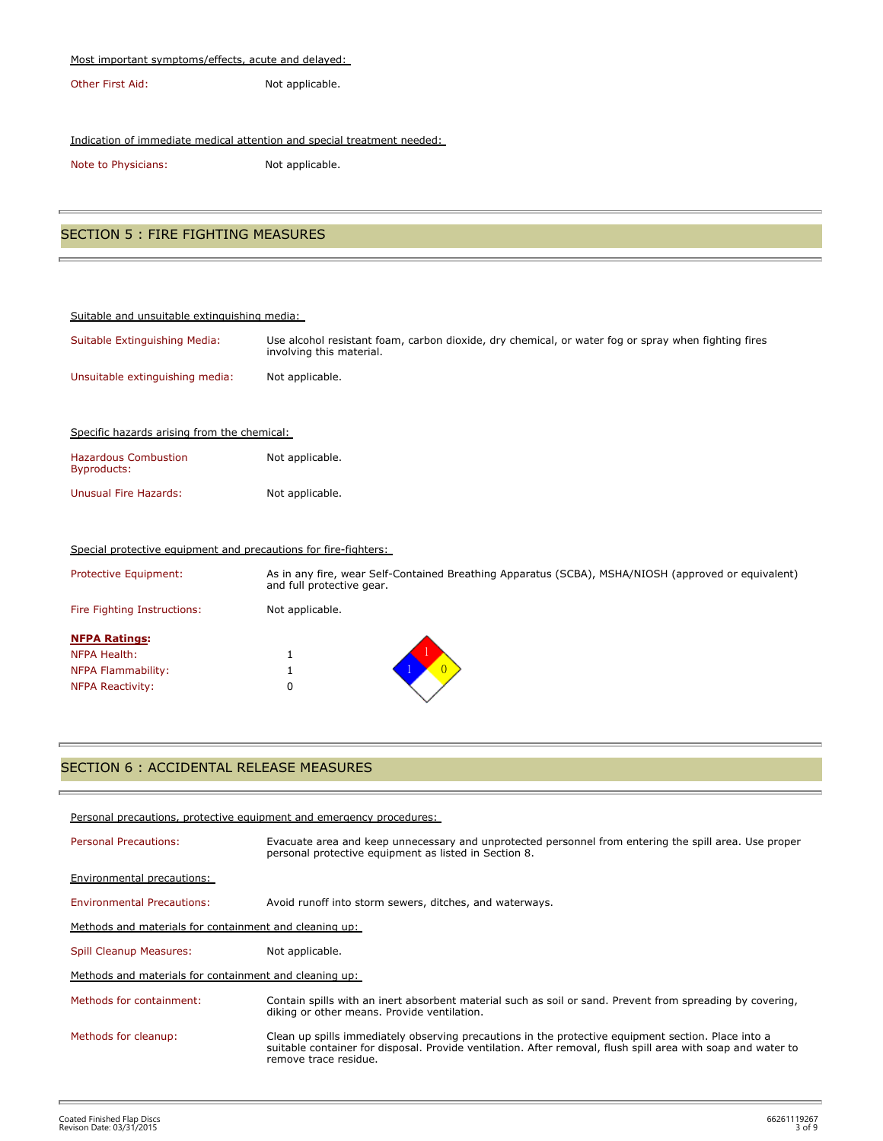#### Most important symptoms/effects, acute and delayed:

Other First Aid: Not applicable.

## Indication of immediate medical attention and special treatment needed:

Note to Physicians: Not applicable.

## SECTION 5 : FIRE FIGHTING MEASURES

| Suitable and unsuitable extinguishing media:                    |                                                                                                                                  |  |
|-----------------------------------------------------------------|----------------------------------------------------------------------------------------------------------------------------------|--|
| Suitable Extinguishing Media:                                   | Use alcohol resistant foam, carbon dioxide, dry chemical, or water fog or spray when fighting fires<br>involving this material.  |  |
| Unsuitable extinguishing media:                                 | Not applicable.                                                                                                                  |  |
|                                                                 |                                                                                                                                  |  |
| Specific hazards arising from the chemical:                     |                                                                                                                                  |  |
| <b>Hazardous Combustion</b><br>Byproducts:                      | Not applicable.                                                                                                                  |  |
| <b>Unusual Fire Hazards:</b>                                    | Not applicable.                                                                                                                  |  |
|                                                                 |                                                                                                                                  |  |
| Special protective equipment and precautions for fire-fighters: |                                                                                                                                  |  |
| Protective Equipment:                                           | As in any fire, wear Self-Contained Breathing Apparatus (SCBA), MSHA/NIOSH (approved or equivalent)<br>and full protective gear. |  |
| Fire Fighting Instructions:                                     | Not applicable.                                                                                                                  |  |
|                                                                 |                                                                                                                                  |  |

| <b>NFPA Ratings:</b>    |  |
|-------------------------|--|
| NFPA Health:            |  |
| NFPA Flammability:      |  |
| <b>NFPA Reactivity:</b> |  |

## SECTION 6 : ACCIDENTAL RELEASE MEASURES

| Personal precautions, protective equipment and emergency procedures: |                                                                                                                                                                                                                                              |  |
|----------------------------------------------------------------------|----------------------------------------------------------------------------------------------------------------------------------------------------------------------------------------------------------------------------------------------|--|
| <b>Personal Precautions:</b>                                         | Evacuate area and keep unnecessary and unprotected personnel from entering the spill area. Use proper<br>personal protective equipment as listed in Section 8.                                                                               |  |
| <b>Environmental precautions:</b>                                    |                                                                                                                                                                                                                                              |  |
| <b>Environmental Precautions:</b>                                    | Avoid runoff into storm sewers, ditches, and waterways.                                                                                                                                                                                      |  |
| Methods and materials for containment and cleaning up:               |                                                                                                                                                                                                                                              |  |
| Spill Cleanup Measures:                                              | Not applicable.                                                                                                                                                                                                                              |  |
| Methods and materials for containment and cleaning up:               |                                                                                                                                                                                                                                              |  |
| Methods for containment:                                             | Contain spills with an inert absorbent material such as soil or sand. Prevent from spreading by covering,<br>diking or other means. Provide ventilation.                                                                                     |  |
| Methods for cleanup:                                                 | Clean up spills immediately observing precautions in the protective equipment section. Place into a<br>suitable container for disposal. Provide ventilation. After removal, flush spill area with soap and water to<br>remove trace residue. |  |

t.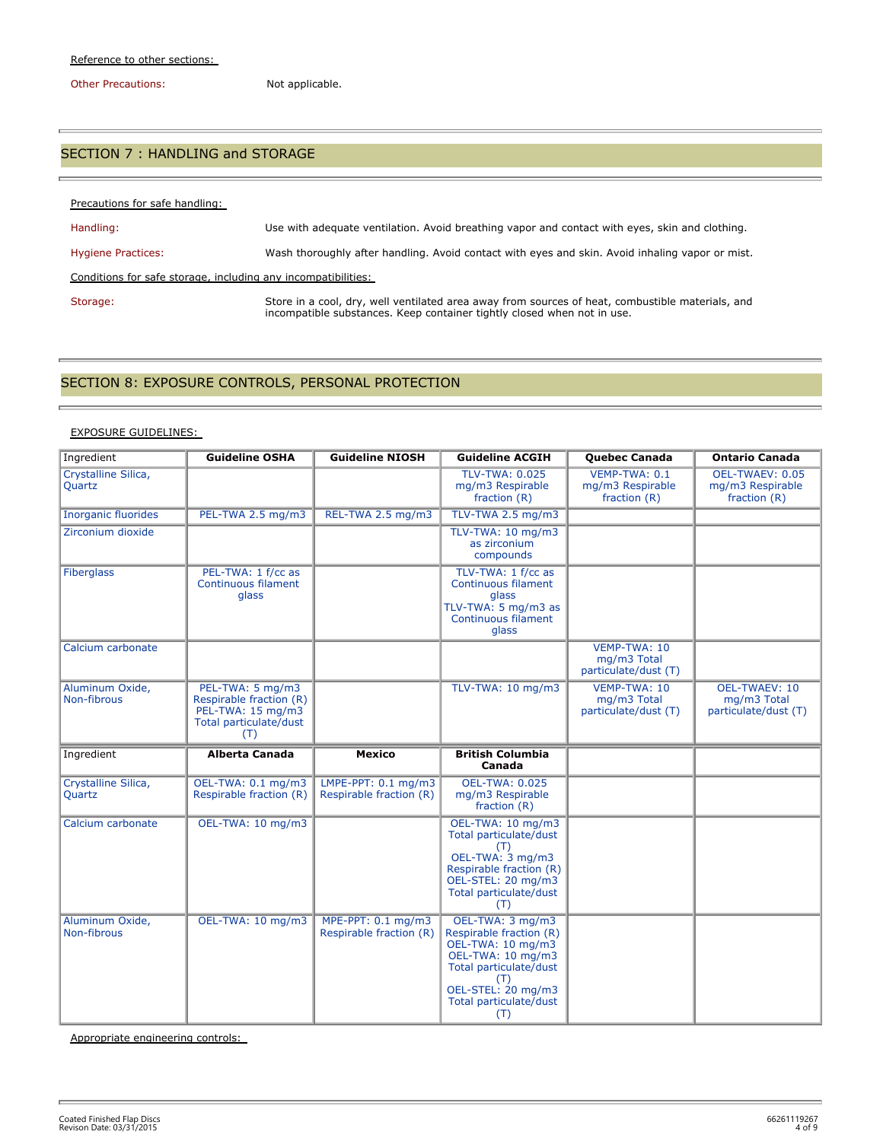Other Precautions: Not applicable.

È.

è

## SECTION 7 : HANDLING and STORAGE

| Precautions for safe handling:                                |                                                                                                                                                                             |
|---------------------------------------------------------------|-----------------------------------------------------------------------------------------------------------------------------------------------------------------------------|
| Handling:                                                     | Use with adequate ventilation. Avoid breathing vapor and contact with eyes, skin and clothing.                                                                              |
| <b>Hygiene Practices:</b>                                     | Wash thoroughly after handling. Avoid contact with eyes and skin. Avoid inhaling vapor or mist.                                                                             |
| Conditions for safe storage, including any incompatibilities: |                                                                                                                                                                             |
| Storage:                                                      | Store in a cool, dry, well ventilated area away from sources of heat, combustible materials, and<br>incompatible substances. Keep container tightly closed when not in use. |

## SECTION 8: EXPOSURE CONTROLS, PERSONAL PROTECTION

#### EXPOSURE GUIDELINES:

| Ingredient                     | <b>Guideline OSHA</b>                                                                             | <b>Guideline NIOSH</b>                                    | <b>Guideline ACGIH</b>                                                                                                                                                        | <b>Quebec Canada</b>                                | <b>Ontario Canada</b>                                       |
|--------------------------------|---------------------------------------------------------------------------------------------------|-----------------------------------------------------------|-------------------------------------------------------------------------------------------------------------------------------------------------------------------------------|-----------------------------------------------------|-------------------------------------------------------------|
| Crystalline Silica,<br>Quartz  |                                                                                                   |                                                           | <b>TLV-TWA: 0.025</b><br>mg/m3 Respirable<br>fraction $(R)$                                                                                                                   | VEMP-TWA: 0.1<br>mg/m3 Respirable<br>fraction $(R)$ | OEL-TWAEV: 0.05<br>mg/m3 Respirable<br>fraction $(R)$       |
| <b>Inorganic fluorides</b>     | PEL-TWA 2.5 mg/m3                                                                                 | REL-TWA 2.5 mg/m3                                         | TLV-TWA 2.5 mg/m3                                                                                                                                                             |                                                     |                                                             |
| Zirconium dioxide              |                                                                                                   |                                                           | TLV-TWA: 10 mg/m3<br>as zirconium<br>compounds                                                                                                                                |                                                     |                                                             |
| <b>Fiberglass</b>              | PEL-TWA: 1 f/cc as<br>Continuous filament<br>glass                                                |                                                           | TLV-TWA: 1 f/cc as<br>Continuous filament<br>glass<br>TLV-TWA: 5 mg/m3 as<br>Continuous filament<br>glass                                                                     |                                                     |                                                             |
| Calcium carbonate              |                                                                                                   |                                                           |                                                                                                                                                                               | VEMP-TWA: 10<br>mg/m3 Total<br>particulate/dust (T) |                                                             |
| Aluminum Oxide,<br>Non-fibrous | PEL-TWA: 5 mg/m3<br>Respirable fraction (R)<br>PEL-TWA: 15 mg/m3<br>Total particulate/dust<br>(T) |                                                           | TLV-TWA: 10 mg/m3                                                                                                                                                             | VEMP-TWA: 10<br>mg/m3 Total<br>particulate/dust (T) | <b>OEL-TWAEV: 10</b><br>mg/m3 Total<br>particulate/dust (T) |
| Ingredient                     | <b>Alberta Canada</b>                                                                             | <b>Mexico</b>                                             | <b>British Columbia</b><br>Canada                                                                                                                                             |                                                     |                                                             |
| Crystalline Silica,<br>Quartz  | OEL-TWA: 0.1 mg/m3<br>Respirable fraction (R)                                                     | LMPE-PPT: $0.1 \text{ mg/m}$ 3<br>Respirable fraction (R) | <b>OEL-TWA: 0.025</b><br>mg/m3 Respirable<br>fraction $(R)$                                                                                                                   |                                                     |                                                             |
| Calcium carbonate              | OEL-TWA: 10 mg/m3                                                                                 |                                                           | OEL-TWA: 10 mg/m3<br>Total particulate/dust<br>(T)<br>OEL-TWA: 3 mg/m3<br>Respirable fraction (R)<br>OEL-STEL: 20 mg/m3<br>Total particulate/dust<br>(T)                      |                                                     |                                                             |
| Aluminum Oxide,<br>Non-fibrous | OEL-TWA: 10 mg/m3                                                                                 | MPE-PPT: 0.1 mg/m3<br>Respirable fraction (R)             | OEL-TWA: 3 mg/m3<br>Respirable fraction (R)<br>OEL-TWA: 10 mg/m3<br>OEL-TWA: 10 mg/m3<br>Total particulate/dust<br>(T)<br>OEL-STEL: 20 mg/m3<br>Total particulate/dust<br>(T) |                                                     |                                                             |

Appropriate engineering controls: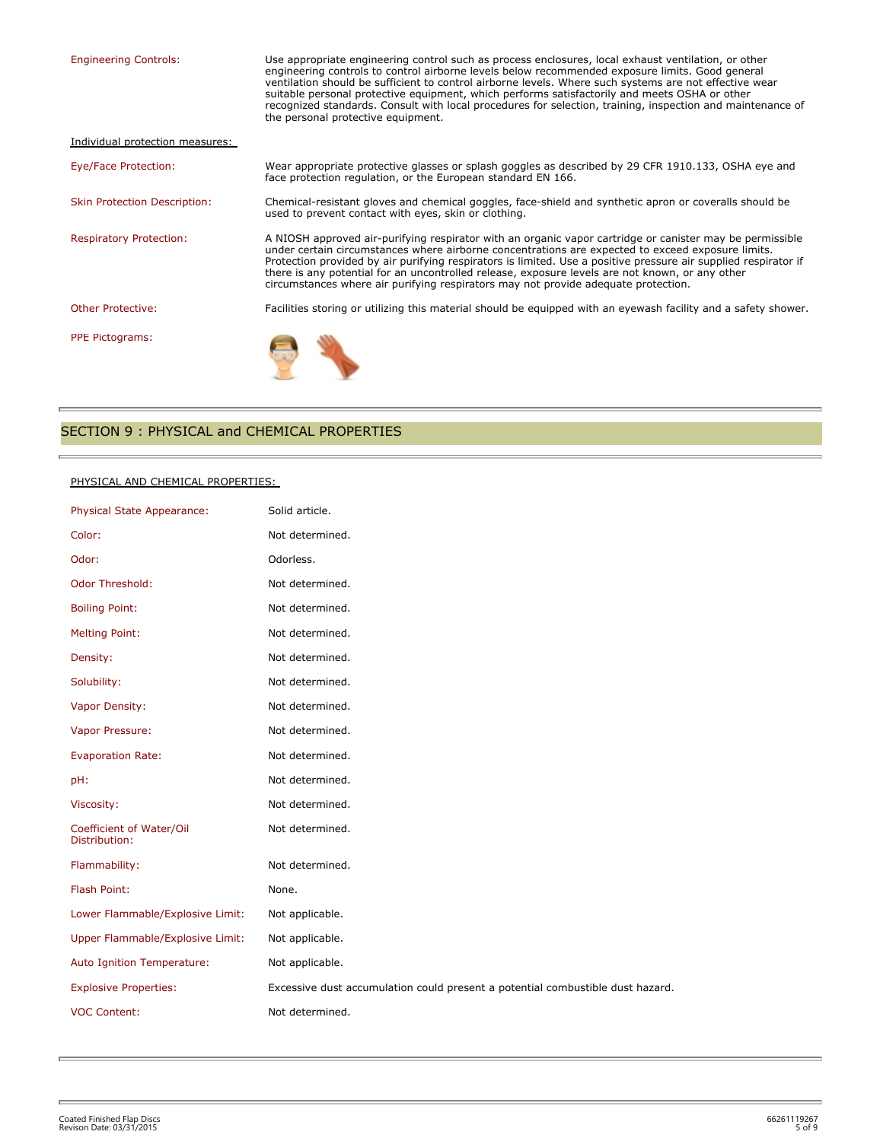| <b>Engineering Controls:</b>        | Use appropriate engineering control such as process enclosures, local exhaust ventilation, or other<br>engineering controls to control airborne levels below recommended exposure limits. Good general<br>ventilation should be sufficient to control airborne levels. Where such systems are not effective wear<br>suitable personal protective equipment, which performs satisfactorily and meets OSHA or other<br>recognized standards. Consult with local procedures for selection, training, inspection and maintenance of<br>the personal protective equipment. |  |
|-------------------------------------|-----------------------------------------------------------------------------------------------------------------------------------------------------------------------------------------------------------------------------------------------------------------------------------------------------------------------------------------------------------------------------------------------------------------------------------------------------------------------------------------------------------------------------------------------------------------------|--|
| Individual protection measures:     |                                                                                                                                                                                                                                                                                                                                                                                                                                                                                                                                                                       |  |
| Eye/Face Protection:                | Wear appropriate protective glasses or splash goggles as described by 29 CFR 1910.133, OSHA eye and<br>face protection regulation, or the European standard EN 166.                                                                                                                                                                                                                                                                                                                                                                                                   |  |
| <b>Skin Protection Description:</b> | Chemical-resistant gloves and chemical goggles, face-shield and synthetic apron or coveralls should be<br>used to prevent contact with eyes, skin or clothing.                                                                                                                                                                                                                                                                                                                                                                                                        |  |
| <b>Respiratory Protection:</b>      | A NIOSH approved air-purifying respirator with an organic vapor cartridge or canister may be permissible<br>under certain circumstances where airborne concentrations are expected to exceed exposure limits.<br>Protection provided by air purifying respirators is limited. Use a positive pressure air supplied respirator if<br>there is any potential for an uncontrolled release, exposure levels are not known, or any other<br>circumstances where air purifying respirators may not provide adequate protection.                                             |  |
| <b>Other Protective:</b>            | Facilities storing or utilizing this material should be equipped with an eyewash facility and a safety shower.                                                                                                                                                                                                                                                                                                                                                                                                                                                        |  |
| <b>PPE Pictograms:</b>              |                                                                                                                                                                                                                                                                                                                                                                                                                                                                                                                                                                       |  |

## SECTION 9 : PHYSICAL and CHEMICAL PROPERTIES

#### PHYSICAL AND CHEMICAL PROPERTIES:

Ė

p.

| Physical State Appearance:                | Solid article.                                                                 |
|-------------------------------------------|--------------------------------------------------------------------------------|
| Color:                                    | Not determined.                                                                |
| Odor:                                     | Odorless.                                                                      |
| Odor Threshold:                           | Not determined.                                                                |
| <b>Boiling Point:</b>                     | Not determined.                                                                |
| <b>Melting Point:</b>                     | Not determined.                                                                |
| Density:                                  | Not determined.                                                                |
| Solubility:                               | Not determined.                                                                |
| Vapor Density:                            | Not determined.                                                                |
| Vapor Pressure:                           | Not determined.                                                                |
| <b>Evaporation Rate:</b>                  | Not determined.                                                                |
| pH:                                       | Not determined.                                                                |
| Viscosity:                                | Not determined.                                                                |
| Coefficient of Water/Oil<br>Distribution: | Not determined.                                                                |
| Flammability:                             | Not determined.                                                                |
| Flash Point:                              | None.                                                                          |
| Lower Flammable/Explosive Limit:          | Not applicable.                                                                |
| Upper Flammable/Explosive Limit:          | Not applicable.                                                                |
| Auto Ignition Temperature:                | Not applicable.                                                                |
| <b>Explosive Properties:</b>              | Excessive dust accumulation could present a potential combustible dust hazard. |
| <b>VOC Content:</b>                       | Not determined.                                                                |
|                                           |                                                                                |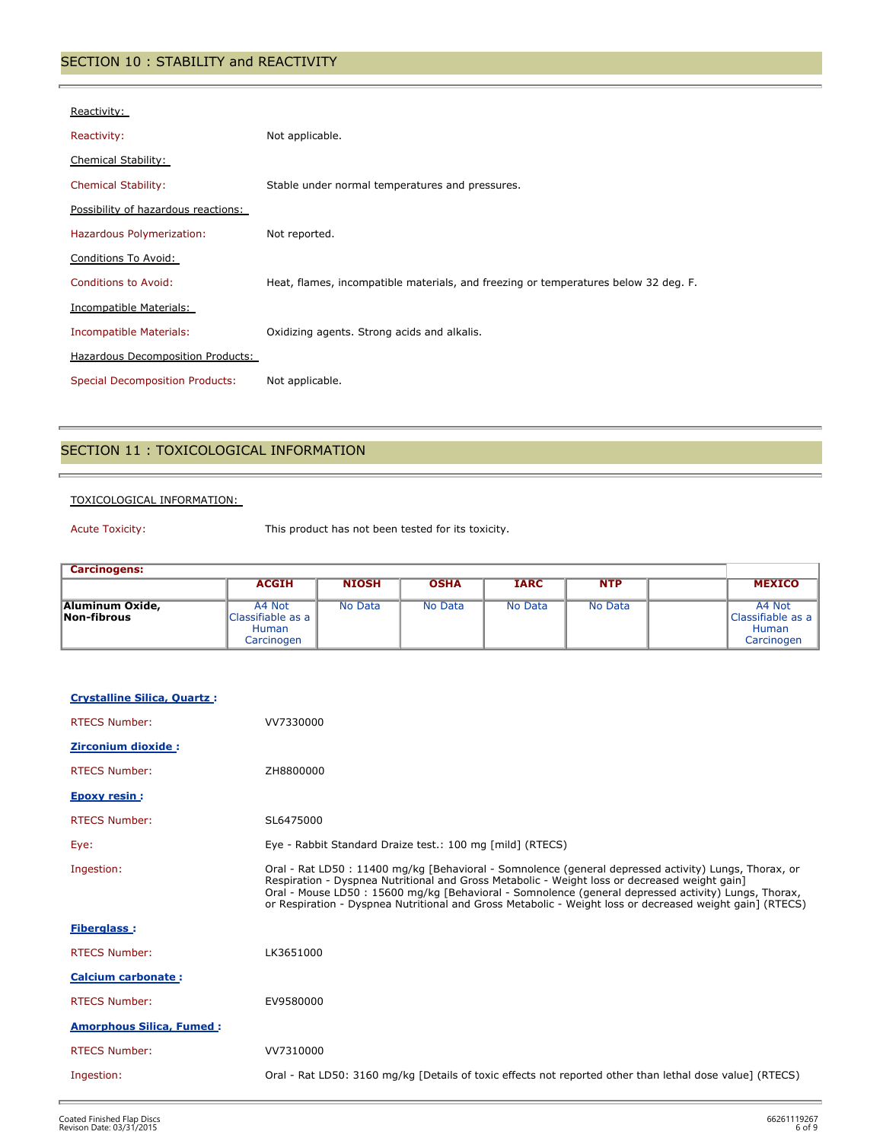## SECTION 10 : STABILITY and REACTIVITY

| Reactivity:                            |                                                                                     |
|----------------------------------------|-------------------------------------------------------------------------------------|
| Reactivity:                            | Not applicable.                                                                     |
| <b>Chemical Stability:</b>             |                                                                                     |
| <b>Chemical Stability:</b>             | Stable under normal temperatures and pressures.                                     |
| Possibility of hazardous reactions:    |                                                                                     |
| Hazardous Polymerization:              | Not reported.                                                                       |
| Conditions To Avoid:                   |                                                                                     |
| <b>Conditions to Avoid:</b>            | Heat, flames, incompatible materials, and freezing or temperatures below 32 deg. F. |
| Incompatible Materials:                |                                                                                     |
| Incompatible Materials:                | Oxidizing agents. Strong acids and alkalis.                                         |
| Hazardous Decomposition Products:      |                                                                                     |
| <b>Special Decomposition Products:</b> | Not applicable.                                                                     |

## SECTION 11 : TOXICOLOGICAL INFORMATION

## TOXICOLOGICAL INFORMATION:

į,

Acute Toxicity: This product has not been tested for its toxicity.

| <b>Carcinogens:</b>            |                                                                  |              |             |             |            |                                                             |
|--------------------------------|------------------------------------------------------------------|--------------|-------------|-------------|------------|-------------------------------------------------------------|
|                                | <b>ACGIH</b>                                                     | <b>NIOSH</b> | <b>OSHA</b> | <b>IARC</b> | <b>NTP</b> | <b>MEXICO</b>                                               |
| Aluminum Oxide,<br>Non-fibrous | A4 Not<br><b>Classifiable as a</b><br><b>Human</b><br>Carcinogen | No Data      | No Data     | No Data     | No Data    | A4 Not<br>l Classifiable as a<br><b>Human</b><br>Carcinogen |

| <b>Crystalline Silica, Quartz:</b> |                                                                                                                                                                                                                                                                                                                                                                                                                            |
|------------------------------------|----------------------------------------------------------------------------------------------------------------------------------------------------------------------------------------------------------------------------------------------------------------------------------------------------------------------------------------------------------------------------------------------------------------------------|
| <b>RTECS Number:</b>               | VV7330000                                                                                                                                                                                                                                                                                                                                                                                                                  |
| <b>Zirconium dioxide:</b>          |                                                                                                                                                                                                                                                                                                                                                                                                                            |
| <b>RTECS Number:</b>               | ZH8800000                                                                                                                                                                                                                                                                                                                                                                                                                  |
| <b>Epoxy resin:</b>                |                                                                                                                                                                                                                                                                                                                                                                                                                            |
| <b>RTECS Number:</b>               | SL6475000                                                                                                                                                                                                                                                                                                                                                                                                                  |
| Eye:                               | Eye - Rabbit Standard Draize test.: 100 mg [mild] (RTECS)                                                                                                                                                                                                                                                                                                                                                                  |
| Ingestion:                         | Oral - Rat LD50 : 11400 mg/kg [Behavioral - Somnolence (general depressed activity) Lungs, Thorax, or<br>Respiration - Dyspnea Nutritional and Gross Metabolic - Weight loss or decreased weight gain]<br>Oral - Mouse LD50 : 15600 mg/kg [Behavioral - Somnolence (general depressed activity) Lungs, Thorax,<br>or Respiration - Dyspnea Nutritional and Gross Metabolic - Weight loss or decreased weight gain] (RTECS) |
| <b>Fiberglass:</b>                 |                                                                                                                                                                                                                                                                                                                                                                                                                            |
| <b>RTECS Number:</b>               | LK3651000                                                                                                                                                                                                                                                                                                                                                                                                                  |
| <b>Calcium carbonate:</b>          |                                                                                                                                                                                                                                                                                                                                                                                                                            |
| <b>RTECS Number:</b>               | EV9580000                                                                                                                                                                                                                                                                                                                                                                                                                  |
| <b>Amorphous Silica, Fumed:</b>    |                                                                                                                                                                                                                                                                                                                                                                                                                            |
| <b>RTECS Number:</b>               | VV7310000                                                                                                                                                                                                                                                                                                                                                                                                                  |
| Ingestion:                         | Oral - Rat LD50: 3160 mg/kg [Details of toxic effects not reported other than lethal dose value] (RTECS)                                                                                                                                                                                                                                                                                                                   |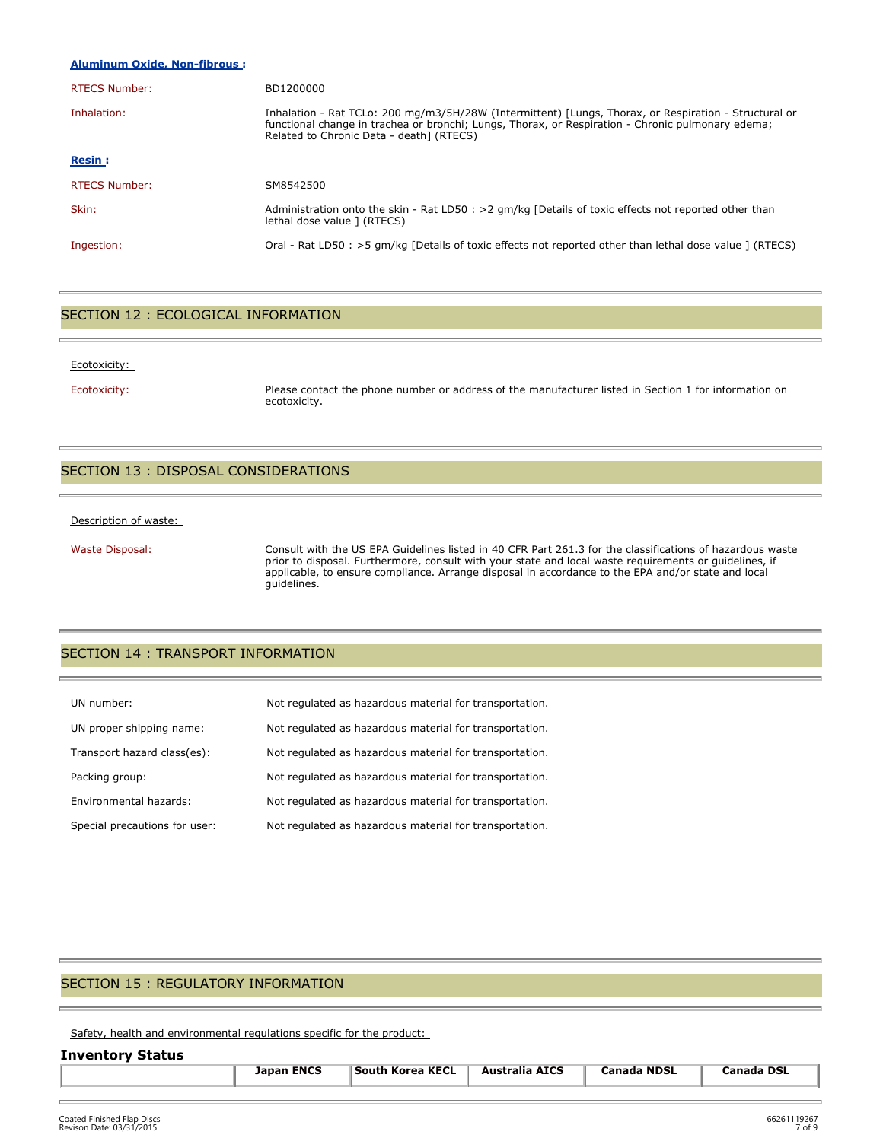#### **Aluminum Oxide, Non-fibrous :**

| <b>RTECS Number:</b> | BD1200000                                                                                                                                                                                                                                              |
|----------------------|--------------------------------------------------------------------------------------------------------------------------------------------------------------------------------------------------------------------------------------------------------|
| Inhalation:          | Inhalation - Rat TCLo: 200 mg/m3/5H/28W (Intermittent) [Lungs, Thorax, or Respiration - Structural or<br>functional change in trachea or bronchi; Lungs, Thorax, or Respiration - Chronic pulmonary edema;<br>Related to Chronic Data - death] (RTECS) |
| <b>Resin:</b>        |                                                                                                                                                                                                                                                        |
| <b>RTECS Number:</b> | SM8542500                                                                                                                                                                                                                                              |
| Skin:                | Administration onto the skin - Rat LD50 : > 2 gm/kg [Details of toxic effects not reported other than<br>lethal dose value ] (RTECS)                                                                                                                   |
| Ingestion:           | Oral - Rat LD50 : >5 qm/kg [Details of toxic effects not reported other than lethal dose value ] (RTECS)                                                                                                                                               |

#### SECTION 12 : ECOLOGICAL INFORMATION

#### Ecotoxicity:

Ecotoxicity: Please contact the phone number or address of the manufacturer listed in Section 1 for information on ecotoxicity.

## SECTION 13 : DISPOSAL CONSIDERATIONS

#### Description of waste:

Waste Disposal: Consult with the US EPA Guidelines listed in 40 CFR Part 261.3 for the classifications of hazardous waste prior to disposal. Furthermore, consult with your state and local waste requirements or guidelines, if applicable, to ensure compliance. Arrange disposal in accordance to the EPA and/or state and local guidelines.

## SECTION 14 : TRANSPORT INFORMATION

| UN number:                    | Not regulated as hazardous material for transportation. |
|-------------------------------|---------------------------------------------------------|
| UN proper shipping name:      | Not regulated as hazardous material for transportation. |
| Transport hazard class(es):   | Not regulated as hazardous material for transportation. |
| Packing group:                | Not regulated as hazardous material for transportation. |
| Environmental hazards:        | Not regulated as hazardous material for transportation. |
| Special precautions for user: | Not regulated as hazardous material for transportation. |

## SECTION 15 : REGULATORY INFORMATION

Safety, health and environmental regulations specific for the product:

#### **Inventory Status**

| <b>Japan ENCS</b> | <b>South Korea KECL</b> | <b>Australia AICS</b> | <b>Canada NDSL</b> | <b>Canada DSL</b> |
|-------------------|-------------------------|-----------------------|--------------------|-------------------|
|                   |                         |                       |                    |                   |
|                   |                         |                       |                    |                   |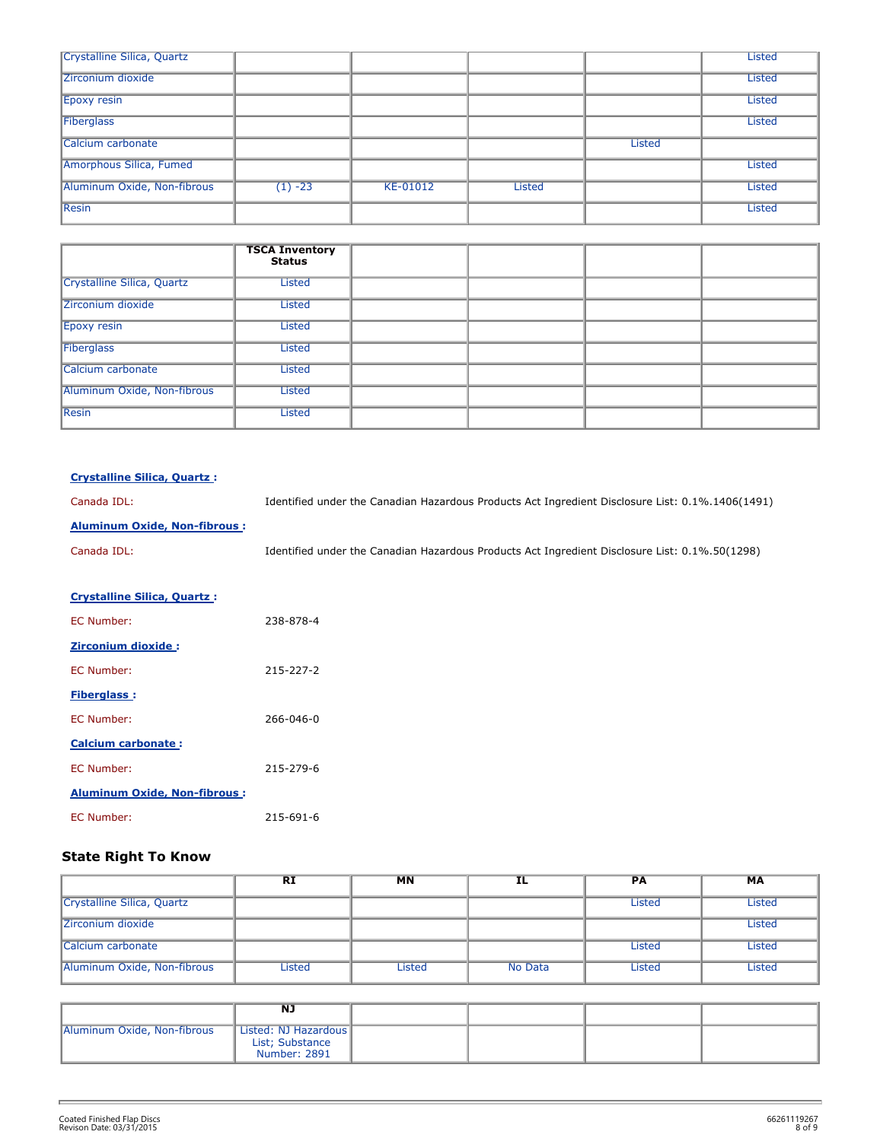| Crystalline Silica, Quartz  |           |          |        |               | <b>Listed</b> |
|-----------------------------|-----------|----------|--------|---------------|---------------|
| Zirconium dioxide           |           |          |        |               | <b>Listed</b> |
| Epoxy resin                 |           |          |        |               | <b>Listed</b> |
| Fiberglass                  |           |          |        |               | <b>Listed</b> |
| Calcium carbonate           |           |          |        | <b>Listed</b> |               |
| Amorphous Silica, Fumed     |           |          |        |               | <b>Listed</b> |
| Aluminum Oxide, Non-fibrous | $(1) -23$ | KE-01012 | Listed |               | <b>Listed</b> |
| Resin                       |           |          |        |               | <b>Listed</b> |

|                             | <b>TSCA Inventory</b><br><b>Status</b> |  |  |
|-----------------------------|----------------------------------------|--|--|
| Crystalline Silica, Quartz  | <b>Listed</b>                          |  |  |
| Zirconium dioxide           | <b>Listed</b>                          |  |  |
| Epoxy resin                 | <b>Listed</b>                          |  |  |
| Fiberglass                  | <b>Listed</b>                          |  |  |
| Calcium carbonate           | <b>Listed</b>                          |  |  |
| Aluminum Oxide, Non-fibrous | <b>Listed</b>                          |  |  |
| Resin                       | <b>Listed</b>                          |  |  |

| <b>Crystalline Silica, Ouartz:</b> |
|------------------------------------|
|------------------------------------|

Canada IDL: Identified under the Canadian Hazardous Products Act Ingredient Disclosure List: 0.1%.1406(1491)

## **Aluminum Oxide, Non-fibrous :**

Canada IDL: Identified under the Canadian Hazardous Products Act Ingredient Disclosure List: 0.1%.50(1298)

| <b>Crystalline Silica, Quartz:</b>  |           |
|-------------------------------------|-----------|
| <b>FC Number:</b>                   | 238-878-4 |
| <b>Zirconium dioxide:</b>           |           |
| <b>FC Number:</b>                   | 215-227-2 |
| <b>Fiberglass:</b>                  |           |
| <b>FC Number:</b>                   | 266-046-0 |
| <b>Calcium carbonate:</b>           |           |
| <b>FC Number:</b>                   | 215-279-6 |
| <b>Aluminum Oxide, Non-fibrous:</b> |           |
| <b>FC Number:</b>                   | 215-691-6 |

## **State Right To Know**

|                             | <b>RI</b> | <b>MN</b> | IL      | <b>PA</b> | MA            |
|-----------------------------|-----------|-----------|---------|-----------|---------------|
| Crystalline Silica, Quartz  |           |           |         | Listed    | <b>Listed</b> |
| <b>Zirconium dioxide</b>    |           |           |         |           | Listed        |
| Calcium carbonate           |           |           |         | Listed    | Listed        |
| Aluminum Oxide, Non-fibrous | Listed    | Listed    | No Data | Listed    | Listed        |

|                             | NJ                                                      |  |  |
|-----------------------------|---------------------------------------------------------|--|--|
| Aluminum Oxide, Non-fibrous | Listed: NJ Hazardous<br>List; Substance<br>Number: 2891 |  |  |